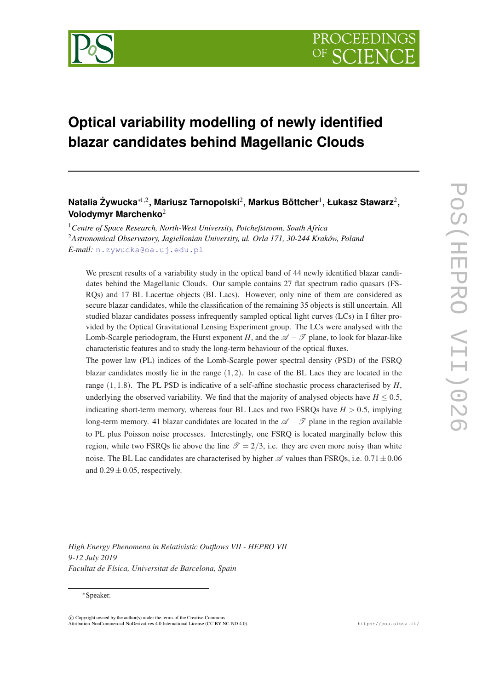

# **Optical variability modelling of newly identified blazar candidates behind Magellanic Clouds**

# **Natalia Zywucka ˙** <sup>∗</sup>1,<sup>2</sup> **, Mariusz Tarnopolski**<sup>2</sup> **, Markus Böttcher**<sup>1</sup> **, Łukasz Stawarz**<sup>2</sup> **, Volodymyr Marchenko**<sup>2</sup>

<sup>1</sup>*Centre of Space Research, North-West University, Potchefstroom, South Africa* <sup>2</sup>*Astronomical Observatory, Jagiellonian University, ul. Orla 171, 30-244 Kraków, Poland E-mail:* [n.zywucka@oa.uj.edu.pl](mailto:n.zywucka@oa.uj.edu.pl)

We present results of a variability study in the optical band of 44 newly identified blazar candidates behind the Magellanic Clouds. Our sample contains 27 flat spectrum radio quasars (FS-RQs) and 17 BL Lacertae objects (BL Lacs). However, only nine of them are considered as secure blazar candidates, while the classification of the remaining 35 objects is still uncertain. All studied blazar candidates possess infrequently sampled optical light curves (LCs) in I filter provided by the Optical Gravitational Lensing Experiment group. The LCs were analysed with the Lomb-Scargle periodogram, the Hurst exponent *H*, and the  $\mathscr{A} - \mathscr{T}$  plane, to look for blazar-like characteristic features and to study the long-term behaviour of the optical fluxes.

The power law (PL) indices of the Lomb-Scargle power spectral density (PSD) of the FSRQ blazar candidates mostly lie in the range  $(1,2)$ . In case of the BL Lacs they are located in the range  $(1,1.8)$ . The PL PSD is indicative of a self-affine stochastic process characterised by  $H$ , underlying the observed variability. We find that the majority of analysed objects have  $H \leq 0.5$ , indicating short-term memory, whereas four BL Lacs and two FSRQs have  $H > 0.5$ , implying long-term memory. 41 blazar candidates are located in the  $\mathscr{A} - \mathscr{T}$  plane in the region available to PL plus Poisson noise processes. Interestingly, one FSRQ is located marginally below this region, while two FSRQs lie above the line  $\mathcal{T} = 2/3$ , i.e. they are even more noisy than white noise. The BL Lac candidates are characterised by higher  $\mathscr A$  values than FSRQs, i.e. 0.71  $\pm$ 0.06 and  $0.29 \pm 0.05$ , respectively.

*High Energy Phenomena in Relativistic Outflows VII - HEPRO VII 9-12 July 2019 Facultat de Física, Universitat de Barcelona, Spain*

### <sup>∗</sup>Speaker.

 $(C)$  Copyright owned by the author(s) under the terms of the Creative Common Attribution-NonCommercial-NoDerivatives 4.0 International License (CC BY-NC-ND 4.0). https://pos.sissa.it/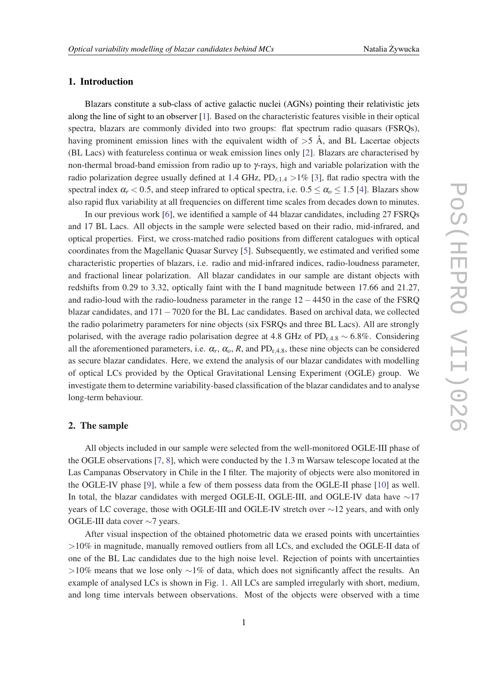### 1. Introduction

Blazars constitute a sub-class of active galactic nuclei (AGNs) pointing their relativistic jets along the line of sight to an observer [[1](#page-7-0)]. Based on the characteristic features visible in their optical spectra, blazars are commonly divided into two groups: flat spectrum radio quasars (FSRQs), having prominent emission lines with the equivalent width of  $>5$  Å, and BL Lacertae objects (BL Lacs) with featureless continua or weak emission lines only [[2](#page-7-0)]. Blazars are characterised by non-thermal broad-band emission from radio up to γ-rays, high and variable polarization with the radio polarization degree usually defined at 1.4 GHz,  $PD_{r,1,4} > 1\%$  [[3](#page-7-0)], flat radio spectra with the spectral index  $\alpha_r < 0.5$ , and steep infrared to optical spectra, i.e.  $0.5 \leq \alpha_o \leq 1.5$  [[4](#page-7-0)]. Blazars show also rapid flux variability at all frequencies on different time scales from decades down to minutes.

In our previous work [\[6\]](#page-7-0), we identified a sample of 44 blazar candidates, including 27 FSRQs and 17 BL Lacs. All objects in the sample were selected based on their radio, mid-infrared, and optical properties. First, we cross-matched radio positions from different catalogues with optical coordinates from the Magellanic Quasar Survey [\[5\]](#page-7-0). Subsequently, we estimated and verified some characteristic properties of blazars, i.e. radio and mid-infrared indices, radio-loudness parameter, and fractional linear polarization. All blazar candidates in our sample are distant objects with redshifts from 0.29 to 3.32, optically faint with the I band magnitude between 17.66 and 21.27, and radio-loud with the radio-loudness parameter in the range 12−4450 in the case of the FSRQ blazar candidates, and 171−7020 for the BL Lac candidates. Based on archival data, we collected the radio polarimetry parameters for nine objects (six FSRQs and three BL Lacs). All are strongly polarised, with the average radio polarisation degree at 4.8 GHz of PD<sub>r,4.8</sub>  $\sim$  6.8%. Considering all the aforementioned parameters, i.e.  $\alpha_r$ ,  $\alpha_o$ , R, and PD<sub>r,4.8</sub>, these nine objects can be considered as secure blazar candidates. Here, we extend the analysis of our blazar candidates with modelling of optical LCs provided by the Optical Gravitational Lensing Experiment (OGLE) group. We investigate them to determine variability-based classification of the blazar candidates and to analyse long-term behaviour.

# 2. The sample

All objects included in our sample were selected from the well-monitored OGLE-III phase of the OGLE observations [[7](#page-7-0), [8](#page-7-0)], which were conducted by the 1.3 m Warsaw telescope located at the Las Campanas Observatory in Chile in the I filter. The majority of objects were also monitored in the OGLE-IV phase [\[9\]](#page-7-0), while a few of them possess data from the OGLE-II phase [\[10](#page-7-0)] as well. In total, the blazar candidates with merged OGLE-II, OGLE-III, and OGLE-IV data have ∼17 years of LC coverage, those with OGLE-III and OGLE-IV stretch over ∼12 years, and with only OGLE-III data cover ∼7 years.

After visual inspection of the obtained photometric data we erased points with uncertainties >10% in magnitude, manually removed outliers from all LCs, and excluded the OGLE-II data of one of the BL Lac candidates due to the high noise level. Rejection of points with uncertainties  $>10\%$  means that we lose only ∼1% of data, which does not significantly affect the results. An example of analysed LCs is shown in Fig. [1](#page-2-0). All LCs are sampled irregularly with short, medium, and long time intervals between observations. Most of the objects were observed with a time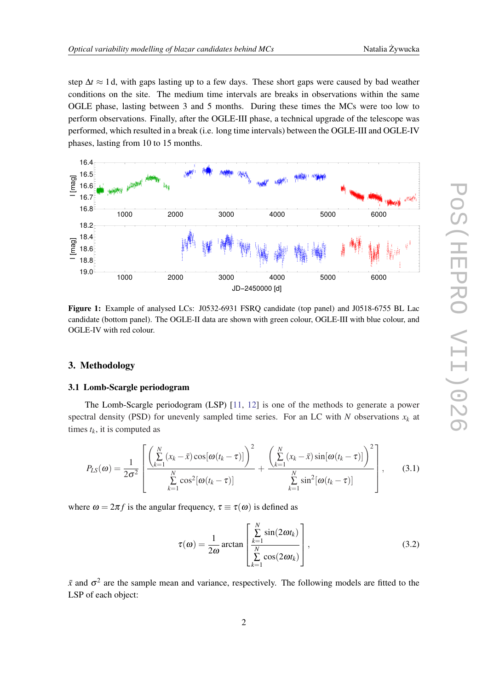<span id="page-2-0"></span>step  $\Delta t \approx 1$  d, with gaps lasting up to a few days. These short gaps were caused by bad weather conditions on the site. The medium time intervals are breaks in observations within the same OGLE phase, lasting between 3 and 5 months. During these times the MCs were too low to perform observations. Finally, after the OGLE-III phase, a technical upgrade of the telescope was performed, which resulted in a break (i.e. long time intervals) between the OGLE-III and OGLE-IV phases, lasting from 10 to 15 months.



Figure 1: Example of analysed LCs: J0532-6931 FSRQ candidate (top panel) and J0518-6755 BL Lac candidate (bottom panel). The OGLE-II data are shown with green colour, OGLE-III with blue colour, and OGLE-IV with red colour.

# 3. Methodology

### 3.1 Lomb-Scargle periodogram

The Lomb-Scargle periodogram (LSP) [\[11](#page-7-0), [12\]](#page-7-0) is one of the methods to generate a power spectral density (PSD) for unevenly sampled time series. For an LC with  $N$  observations  $x_k$  at times  $t_k$ , it is computed as

$$
P_{LS}(\omega) = \frac{1}{2\sigma^2} \left[ \frac{\left(\sum_{k=1}^N (x_k - \bar{x}) \cos[\omega(t_k - \tau)]\right)^2}{\sum_{k=1}^N \cos^2[\omega(t_k - \tau)]} + \frac{\left(\sum_{k=1}^N (x_k - \bar{x}) \sin[\omega(t_k - \tau)]\right)^2}{\sum_{k=1}^N \sin^2[\omega(t_k - \tau)]} \right],
$$
(3.1)

where  $\omega = 2\pi f$  is the angular frequency,  $\tau \equiv \tau(\omega)$  is defined as

$$
\tau(\omega) = \frac{1}{2\omega} \arctan \left[ \frac{\sum_{k=1}^{N} \sin(2\omega t_k)}{\sum_{k=1}^{N} \cos(2\omega t_k)} \right],
$$
\n(3.2)

 $\bar{x}$  and  $\sigma^2$  are the sample mean and variance, respectively. The following models are fitted to the LSP of each object: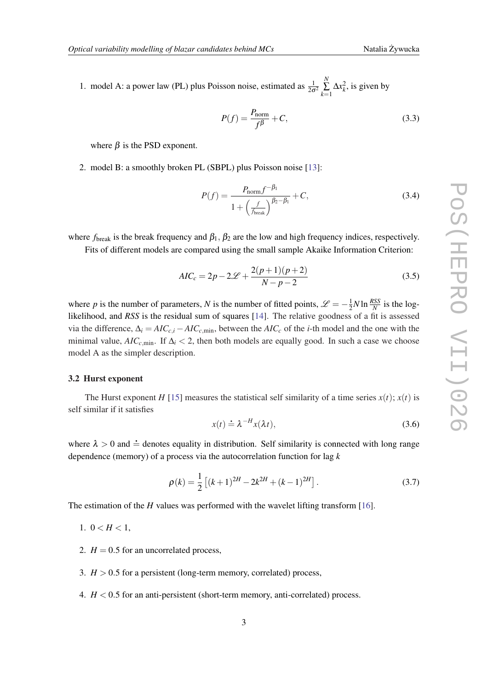1. model A: a power law (PL) plus Poisson noise, estimated as  $\frac{1}{2\sigma^2}$ *N*  $\sum_{k=1}^{N} \Delta x_k^2$ , is given by

$$
P(f) = \frac{P_{\text{norm}}}{f^{\beta}} + C,\tag{3.3}
$$

where  $\beta$  is the PSD exponent.

2. model B: a smoothly broken PL (SBPL) plus Poisson noise [[13\]](#page-7-0):

$$
P(f) = \frac{P_{\text{norm}}f^{-\beta_1}}{1 + \left(\frac{f}{f_{\text{break}}}\right)^{\beta_2 - \beta_1}} + C,\tag{3.4}
$$

where  $f_{\text{break}}$  is the break frequency and  $\beta_1$ ,  $\beta_2$  are the low and high frequency indices, respectively.

Fits of different models are compared using the small sample Akaike Information Criterion:

$$
AIC_c = 2p - 2\mathcal{L} + \frac{2(p+1)(p+2)}{N-p-2}
$$
\n(3.5)

where *p* is the number of parameters, *N* is the number of fitted points,  $\mathscr{L} = -\frac{1}{2}$  $\frac{1}{2}N \ln \frac{RSS}{N}$  is the loglikelihood, and *RSS* is the residual sum of squares [[14\]](#page-7-0). The relative goodness of a fit is assessed via the difference,  $\Delta_i = AIC_{c,i} - AIC_{c,\min}$ , between the  $AIC_c$  of the *i*-th model and the one with the minimal value,  $AIC_{c,min}$ . If  $\Delta_i < 2$ , then both models are equally good. In such a case we choose model A as the simpler description.

### 3.2 Hurst exponent

The Hurst exponent *H* [\[15](#page-7-0)] measures the statistical self similarity of a time series  $x(t)$ ;  $x(t)$  is self similar if it satisfies

$$
x(t) \doteq \lambda^{-H} x(\lambda t), \tag{3.6}
$$

where  $\lambda > 0$  and  $\dot{=}$  denotes equality in distribution. Self similarity is connected with long range dependence (memory) of a process via the autocorrelation function for lag *k*

$$
\rho(k) = \frac{1}{2} \left[ (k+1)^{2H} - 2k^{2H} + (k-1)^{2H} \right].
$$
\n(3.7)

The estimation of the *H* values was performed with the wavelet lifting transform [\[16\]](#page-7-0).

- 1.  $0 < H < 1$ ,
- 2.  $H = 0.5$  for an uncorrelated process,
- 3.  $H > 0.5$  for a persistent (long-term memory, correlated) process,
- 4.  $H < 0.5$  for an anti-persistent (short-term memory, anti-correlated) process.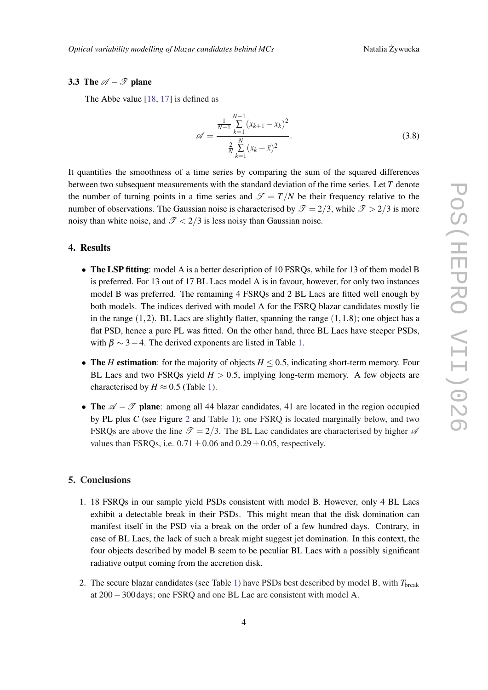### 3.3 The  $\mathscr{A} - \mathscr{T}$  plane

The Abbe value [\[18](#page-7-0), [17\]](#page-7-0) is defined as

$$
\mathscr{A} = \frac{\frac{1}{N-1} \sum_{k=1}^{N-1} (x_{k+1} - x_k)^2}{\frac{2}{N} \sum_{k=1}^{N} (x_k - \bar{x})^2}.
$$
\n(3.8)

It quantifies the smoothness of a time series by comparing the sum of the squared differences between two subsequent measurements with the standard deviation of the time series. Let *T* denote the number of turning points in a time series and  $\mathcal{T} = T/N$  be their frequency relative to the number of observations. The Gaussian noise is characterised by  $\mathcal{T} = 2/3$ , while  $\mathcal{T} > 2/3$  is more noisy than white noise, and  $\mathcal{T} < 2/3$  is less noisy than Gaussian noise.

# 4. Results

- The LSP fitting: model A is a better description of 10 FSRQs, while for 13 of them model B is preferred. For 13 out of 17 BL Lacs model A is in favour, however, for only two instances model B was preferred. The remaining 4 FSRQs and 2 BL Lacs are fitted well enough by both models. The indices derived with model A for the FSRQ blazar candidates mostly lie in the range  $(1,2)$ . BL Lacs are slightly flatter, spanning the range  $(1,1.8)$ ; one object has a flat PSD, hence a pure PL was fitted. On the other hand, three BL Lacs have steeper PSDs, with  $\beta \sim 3-4$ . The derived exponents are listed in Table [1](#page-6-0).
- The *H* estimation: for the majority of objects  $H \leq 0.5$ , indicating short-term memory. Four BL Lacs and two FSRQs yield  $H > 0.5$ , implying long-term memory. A few objects are characterised by  $H \approx 0.5$  (Table [1\)](#page-6-0).
- The  $\mathscr{A} \mathscr{T}$  plane: among all 44 blazar candidates, 41 are located in the region occupied by PL plus *C* (see Figure [2](#page-5-0) and Table [1](#page-6-0)); one FSRQ is located marginally below, and two FSRQs are above the line  $\mathcal{T} = 2/3$ . The BL Lac candidates are characterised by higher  $\mathcal{A}$ values than FSRQs, i.e.  $0.71 \pm 0.06$  and  $0.29 \pm 0.05$ , respectively.

# 5. Conclusions

- 1. 18 FSRQs in our sample yield PSDs consistent with model B. However, only 4 BL Lacs exhibit a detectable break in their PSDs. This might mean that the disk domination can manifest itself in the PSD via a break on the order of a few hundred days. Contrary, in case of BL Lacs, the lack of such a break might suggest jet domination. In this context, the four objects described by model B seem to be peculiar BL Lacs with a possibly significant radiative output coming from the accretion disk.
- 2. The secure blazar candidates (see Table [1](#page-6-0)) have PSDs best described by model B, with *T*break at 200−300 days; one FSRQ and one BL Lac are consistent with model A.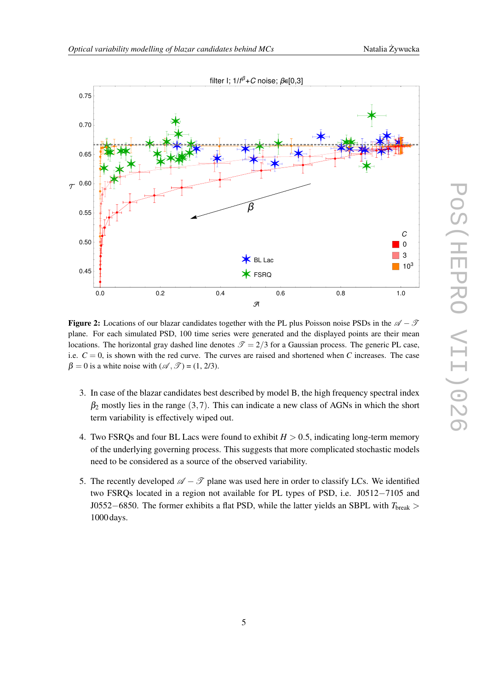<span id="page-5-0"></span>

**Figure 2:** Locations of our blazar candidates together with the PL plus Poisson noise PSDs in the  $\mathcal{A} - \mathcal{T}$ plane. For each simulated PSD, 100 time series were generated and the displayed points are their mean locations. The horizontal gray dashed line denotes  $\mathcal{T} = 2/3$  for a Gaussian process. The generic PL case, i.e.  $C = 0$ , is shown with the red curve. The curves are raised and shortened when *C* increases. The case  $\beta = 0$  is a white noise with  $(\mathcal{A}, \mathcal{T}) = (1, 2/3)$ .

- 3. In case of the blazar candidates best described by model B, the high frequency spectral index  $\beta_2$  mostly lies in the range (3,7). This can indicate a new class of AGNs in which the short term variability is effectively wiped out.
- 4. Two FSRQs and four BL Lacs were found to exhibit  $H > 0.5$ , indicating long-term memory of the underlying governing process. This suggests that more complicated stochastic models need to be considered as a source of the observed variability.
- 5. The recently developed  $\mathscr{A} \mathscr{T}$  plane was used here in order to classify LCs. We identified two FSRQs located in a region not available for PL types of PSD, i.e. J0512−7105 and J0552−6850. The former exhibits a flat PSD, while the latter yields an SBPL with *T*break > 1000 days.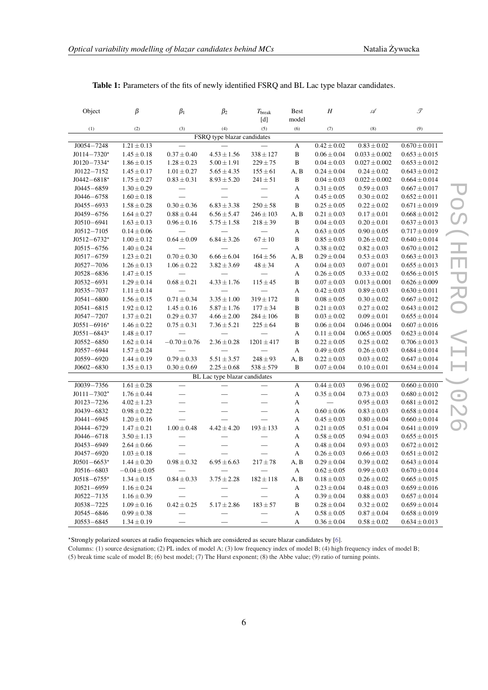| Object                        | β                | $\beta_1$                | $\beta_2$                | $T_{\rm break}$                                                                                                                                                                                                                                                                                                                                                                                                                                        | Best                      | H               | Á                 | $\mathscr{T}$     |
|-------------------------------|------------------|--------------------------|--------------------------|--------------------------------------------------------------------------------------------------------------------------------------------------------------------------------------------------------------------------------------------------------------------------------------------------------------------------------------------------------------------------------------------------------------------------------------------------------|---------------------------|-----------------|-------------------|-------------------|
|                               |                  |                          |                          | $[d]% \centering \subfloat[\centering]{{\includegraphics[width=8cm]{fig1000000.pdf} }}% \qquad \subfloat[\centering]{{\includegraphics[width=8cm]{fig1000000.pdf} }}% \caption{The 3D (a) of the 3D (b) of the 3D (c) of the 3D (d) of the 3D (e) of the 3D (d) of the 3D (d) of the 3D (d) of the 3D (d) of the 3D (d) of the 3D (d) of the 3D (d) of the 3D (d) of the 3D (d) of the 3D (d) of the 3D (d) of the 3D (d) of the 3D (d) of the 3D (d)$ | model                     |                 |                   |                   |
| (1)                           | (2)              | (3)                      | (4)                      | (5)                                                                                                                                                                                                                                                                                                                                                                                                                                                    | (6)                       | (7)             | (8)               | (9)               |
| FSRQ type blazar candidates   |                  |                          |                          |                                                                                                                                                                                                                                                                                                                                                                                                                                                        |                           |                 |                   |                   |
| $J0054 - 7248$                | $1.21 \pm 0.13$  |                          |                          |                                                                                                                                                                                                                                                                                                                                                                                                                                                        | A                         | $0.42 \pm 0.02$ | $0.83 \pm 0.02$   | $0.670 \pm 0.011$ |
| $J0114 - 7320*$               | $1.45 \pm 0.18$  | $0.37 \pm 0.40$          | $4.53 \pm 1.56$          | $338 \pm 127$                                                                                                                                                                                                                                                                                                                                                                                                                                          | $\, {\bf B}$              | $0.06 \pm 0.04$ | $0.033 \pm 0.002$ | $0.653 \pm 0.015$ |
| $J0120 - 7334*$               | $1.86 \pm 0.15$  | $1.28 \pm 0.23$          | $5.00 \pm 1.91$          | $229 \pm 75$                                                                                                                                                                                                                                                                                                                                                                                                                                           | $\, {\bf B}$              | $0.04 \pm 0.03$ | $0.027 \pm 0.002$ | $0.653 \pm 0.012$ |
| $J0122 - 7152$                | $1.45 \pm 0.17$  | $1.01 \pm 0.27$          | $5.65 \pm 4.35$          | $155 \pm 61$                                                                                                                                                                                                                                                                                                                                                                                                                                           | A, B                      | $0.24 \pm 0.04$ | $0.24 \pm 0.02$   | $0.643 \pm 0.012$ |
| $J0442 - 6818*$               | $1.75 \pm 0.27$  | $0.83 \pm 0.31$          | $8.93 \pm 5.20$          | $241 \pm 51$                                                                                                                                                                                                                                                                                                                                                                                                                                           | $\, {\bf B}$              | $0.04 \pm 0.03$ | $0.022 \pm 0.002$ | $0.664 \pm 0.014$ |
| $J0445 - 6859$                | $1.30 \pm 0.29$  |                          |                          | —                                                                                                                                                                                                                                                                                                                                                                                                                                                      | A                         | $0.31 \pm 0.05$ | $0.59 \pm 0.03$   | $0.667 \pm 0.017$ |
| $J0446 - 6758$                | $1.60 \pm 0.18$  | $\overline{\phantom{0}}$ |                          | $\overline{\phantom{0}}$                                                                                                                                                                                                                                                                                                                                                                                                                               | A                         | $0.45 \pm 0.05$ | $0.30 \pm 0.02$   | $0.652 \pm 0.011$ |
| $J0455 - 6933$                | $1.58 \pm 0.28$  | $0.30 \pm 0.36$          | $6.83 \pm 3.38$          | $250 \pm 58$                                                                                                                                                                                                                                                                                                                                                                                                                                           | $\, {\bf B}$              | $0.25 \pm 0.05$ | $0.22 \pm 0.02$   | $0.671 \pm 0.019$ |
| $J0459 - 6756$                | $1.64 \pm 0.27$  | $0.88 \pm 0.44$          | $6.56 \pm 5.47$          | $246 \pm 103$                                                                                                                                                                                                                                                                                                                                                                                                                                          | A, B                      | $0.21 \pm 0.03$ | $0.17 \pm 0.01$   | $0.668 \pm 0.012$ |
| $J0510 - 6941$                | $1.63 \pm 0.13$  | $0.96 \pm 0.16$          | $5.75 \pm 1.58$          | $218 \pm 39$                                                                                                                                                                                                                                                                                                                                                                                                                                           | $\, {\bf B}$              | $0.04 \pm 0.03$ | $0.20 \pm 0.01$   | $0.637 \pm 0.013$ |
| $J0512 - 7105$                | $0.14 \pm 0.06$  |                          |                          | $\overline{\phantom{0}}$                                                                                                                                                                                                                                                                                                                                                                                                                               | A                         | $0.63 \pm 0.05$ | $0.90\pm0.05$     | $0.717 \pm 0.019$ |
| $J0512 - 6732*$               | $1.00 \pm 0.12$  | $0.64 \pm 0.09$          | $6.84 \pm 3.26$          | $67 \pm 10$                                                                                                                                                                                                                                                                                                                                                                                                                                            | B                         | $0.85 \pm 0.03$ | $0.26 \pm 0.02$   | $0.640 \pm 0.014$ |
| $J0515 - 6756$                | $1.40 \pm 0.24$  |                          |                          |                                                                                                                                                                                                                                                                                                                                                                                                                                                        | $\mathbf A$               | $0.38 \pm 0.02$ | $0.82 \pm 0.03$   | $0.670 \pm 0.012$ |
| $J0517 - 6759$                | $1.23 \pm 0.21$  | $0.70 \pm 0.30$          | $6.66 \pm 6.04$          | $164 \pm 56$                                                                                                                                                                                                                                                                                                                                                                                                                                           | A, B                      | $0.29 \pm 0.04$ | $0.53\pm0.03$     | $0.663 \pm 0.013$ |
| $J0527 - 7036$                | $1.26 \pm 0.13$  | $1.06 \pm 0.22$          | $3.82 \pm 3.69$          | $48 \pm 34$                                                                                                                                                                                                                                                                                                                                                                                                                                            | $\mathbf A$               | $0.04 \pm 0.03$ | $0.07 \pm 0.01$   | $0.655 \pm 0.013$ |
| $J0528 - 6836$                | $1.47 \pm 0.15$  |                          |                          |                                                                                                                                                                                                                                                                                                                                                                                                                                                        | A                         | $0.26 \pm 0.05$ | $0.33 \pm 0.02$   | $0.656 \pm 0.015$ |
| $J0532 - 6931$                | $1.29 \pm 0.14$  | $0.68 \pm 0.21$          | $4.33 \pm 1.76$          | $115 \pm 45$                                                                                                                                                                                                                                                                                                                                                                                                                                           | $\, {\bf B}$              | $0.07 \pm 0.03$ | $0.013 \pm 0.001$ | $0.626 \pm 0.009$ |
| $J0535 - 7037$                | $1.11 \pm 0.14$  |                          |                          | $\overline{\phantom{0}}$                                                                                                                                                                                                                                                                                                                                                                                                                               | A                         | $0.42 \pm 0.03$ | $0.89 \pm 0.03$   | $0.630 \pm 0.011$ |
| $J0541 - 6800$                | $1.56 \pm 0.15$  | $0.71 \pm 0.34$          | $3.35 \pm 1.00$          | $319 \pm 172$                                                                                                                                                                                                                                                                                                                                                                                                                                          | $\, {\bf B}$              | $0.08\pm0.05$   | $0.30\pm0.02$     | $0.667 \pm 0.012$ |
| $J0541 - 6815$                | $1.92 \pm 0.12$  | $1.45 \pm 0.16$          | $5.87 \pm 1.76$          | $177 \pm 34$                                                                                                                                                                                                                                                                                                                                                                                                                                           | $\, {\bf B}$              | $0.21 \pm 0.03$ | $0.27 \pm 0.02$   | $0.643 \pm 0.012$ |
| $J0547 - 7207$                | $1.37 \pm 0.21$  | $0.29 \pm 0.37$          | $4.66 \pm 2.00$          | $284 \pm 106$                                                                                                                                                                                                                                                                                                                                                                                                                                          | $\, {\bf B}$              | $0.03 \pm 0.02$ | $0.09 \pm 0.01$   | $0.655 \pm 0.014$ |
| $J0551 - 6916*$               | $1.46\pm0.22$    | $0.75\pm0.31$            | $7.36 \pm 5.21$          | $225\pm64$                                                                                                                                                                                                                                                                                                                                                                                                                                             | $\, {\bf B}$              | $0.06 \pm 0.04$ | $0.046 \pm 0.004$ | $0.607 \pm 0.016$ |
| $J0551 - 6843*$               | $1.48 \pm 0.17$  |                          |                          | $\overline{\phantom{0}}$                                                                                                                                                                                                                                                                                                                                                                                                                               | A                         | $0.11 \pm 0.04$ | $0.065 \pm 0.005$ | $0.623 \pm 0.014$ |
| $J0552 - 6850$                | $1.62 \pm 0.14$  | $-0.70 \pm 0.76$         | $2.36 \pm 0.28$          | $1201 \pm 417$                                                                                                                                                                                                                                                                                                                                                                                                                                         | B                         | $0.22 \pm 0.05$ | $0.25 \pm 0.02$   | $0.706 \pm 0.013$ |
| $J0557 - 6944$                | $1.57 \pm 0.24$  |                          |                          |                                                                                                                                                                                                                                                                                                                                                                                                                                                        | $\boldsymbol{\mathsf{A}}$ | $0.49 \pm 0.05$ | $0.26 \pm 0.03$   | $0.684 \pm 0.014$ |
| J0559-6920                    | $1.44 \pm 0.19$  | $0.79 \pm 0.33$          | $5.51 \pm 3.57$          | $248\pm93$                                                                                                                                                                                                                                                                                                                                                                                                                                             | A, B                      | $0.22 \pm 0.03$ | $0.03 \pm 0.02$   | $0.647 \pm 0.014$ |
| $J0602 - 6830$                | $1.35 \pm 0.13$  | $0.30 \pm 0.69$          | $2.25 \pm 0.68$          | $538 \pm 579$                                                                                                                                                                                                                                                                                                                                                                                                                                          | $\bf{B}$                  | $0.07 \pm 0.04$ | $0.10 \pm 0.01$   | $0.634 \pm 0.014$ |
| BL Lac type blazar candidates |                  |                          |                          |                                                                                                                                                                                                                                                                                                                                                                                                                                                        |                           |                 |                   |                   |
| J0039-7356                    | $1.61\pm0.28$    |                          |                          |                                                                                                                                                                                                                                                                                                                                                                                                                                                        | A                         | $0.44 \pm 0.03$ | $0.96 \pm 0.02$   | $0.660 \pm 0.010$ |
| $J0111 - 7302*$               | $1.76 \pm 0.44$  |                          |                          | —                                                                                                                                                                                                                                                                                                                                                                                                                                                      | $\boldsymbol{\mathsf{A}}$ | $0.35 \pm 0.04$ | $0.73 \pm 0.03$   | $0.680 \pm 0.012$ |
| $J0123 - 7236$                | $4.02 \pm 1.23$  |                          |                          |                                                                                                                                                                                                                                                                                                                                                                                                                                                        | $\mathbf A$               |                 | $0.95 \pm 0.03$   | $0.681 \pm 0.012$ |
| J0439-6832                    | $0.98 \pm 0.22$  |                          |                          | $\overline{\phantom{0}}$                                                                                                                                                                                                                                                                                                                                                                                                                               | $\boldsymbol{\mathsf{A}}$ | $0.60 \pm 0.06$ | $0.83 \pm 0.03$   | $0.658 \pm 0.014$ |
| $J0441 - 6945$                | $1.20 \pm 0.16$  |                          |                          | $\overline{\phantom{0}}$                                                                                                                                                                                                                                                                                                                                                                                                                               | A                         | $0.45 \pm 0.03$ | $0.80 \pm 0.04$   | $0.660 \pm 0.014$ |
| $J0444 - 6729$                | $1.47 \pm 0.21$  | $1.00\pm0.48$            | $4.42 \pm 4.20$          | $193 \pm 133$                                                                                                                                                                                                                                                                                                                                                                                                                                          | $\mathbf A$               | $0.21 \pm 0.05$ | $0.51\pm0.04$     | $0.641 \pm 0.019$ |
| $J0446 - 6718$                | $3.50 \pm 1.13$  | $\overline{\phantom{0}}$ |                          | $\overline{\phantom{0}}$                                                                                                                                                                                                                                                                                                                                                                                                                               | A                         | $0.58 \pm 0.05$ | $0.94 \pm 0.03$   | $0.655 \pm 0.015$ |
| $J0453 - 6949$                | $2.64\pm0.66$    |                          | $\overline{\phantom{0}}$ | $\overline{\phantom{0}}$                                                                                                                                                                                                                                                                                                                                                                                                                               | A                         | $0.48\pm0.04$   | $0.93 \pm 0.03$   | $0.672 \pm 0.012$ |
| $J0457 - 6920$                | $1.03 \pm 0.18$  |                          |                          |                                                                                                                                                                                                                                                                                                                                                                                                                                                        | A                         | $0.26 \pm 0.03$ | $0.66 \pm 0.03$   | $0.651 \pm 0.012$ |
| $J0501 - 6653*$               | $1.44 \pm 0.20$  | $0.98 \pm 0.32$          | $6.95 \pm 6.63$          | $217 + 78$                                                                                                                                                                                                                                                                                                                                                                                                                                             | A, B                      | $0.29 \pm 0.04$ | $0.39 \pm 0.02$   | $0.643 \pm 0.014$ |
| $J0516 - 6803$                | $-0.04 \pm 0.05$ |                          |                          |                                                                                                                                                                                                                                                                                                                                                                                                                                                        | $\boldsymbol{\mathsf{A}}$ | $0.62 \pm 0.05$ | $0.99 \pm 0.03$   | $0.670 \pm 0.014$ |
| $J0518 - 6755*$               | $1.34 \pm 0.15$  | $0.84 \pm 0.33$          | $3.75 \pm 2.28$          | $182 \pm 118$                                                                                                                                                                                                                                                                                                                                                                                                                                          | A, B                      | $0.18 \pm 0.03$ | $0.26 \pm 0.02$   | $0.665 \pm 0.015$ |
| $J0521 - 6959$                | $1.16 \pm 0.24$  |                          |                          |                                                                                                                                                                                                                                                                                                                                                                                                                                                        | $\boldsymbol{\rm{A}}$     | $0.23 \pm 0.04$ | $0.48 \pm 0.03$   | $0.659 \pm 0.016$ |
| $J0522 - 7135$                | $1.16 \pm 0.39$  |                          |                          |                                                                                                                                                                                                                                                                                                                                                                                                                                                        | A                         | $0.39 \pm 0.04$ | $0.88 \pm 0.03$   | $0.657 \pm 0.014$ |
| J0538-7225                    | $1.09 \pm 0.16$  | $0.42 \pm 0.25$          | $5.17 \pm 2.86$          | $183 + 57$                                                                                                                                                                                                                                                                                                                                                                                                                                             | $\, {\bf B}$              | $0.28 \pm 0.04$ | $0.32 \pm 0.02$   | $0.659 \pm 0.014$ |
| $J0545 - 6846$                | $0.99 \pm 0.38$  |                          |                          |                                                                                                                                                                                                                                                                                                                                                                                                                                                        | A                         | $0.58 \pm 0.05$ | $0.87 \pm 0.04$   | $0.658 \pm 0.019$ |
| $J0553 - 6845$                | $1.34 \pm 0.19$  |                          |                          |                                                                                                                                                                                                                                                                                                                                                                                                                                                        | A                         | $0.36 \pm 0.04$ | $0.58 \pm 0.02$   | $0.634 \pm 0.013$ |

<span id="page-6-0"></span>Table 1: Parameters of the fits of newly identified FSRQ and BL Lac type blazar candidates.

?Strongly polarized sources at radio frequencies which are considered as secure blazar candidates by [\[6](#page-7-0)].

Columns: (1) source designation; (2) PL index of model A; (3) low frequency index of model B; (4) high frequency index of model B; (5) break time scale of model B; (6) best model; (7) The Hurst exponent; (8) the Abbe value; (9) ratio of turning points.